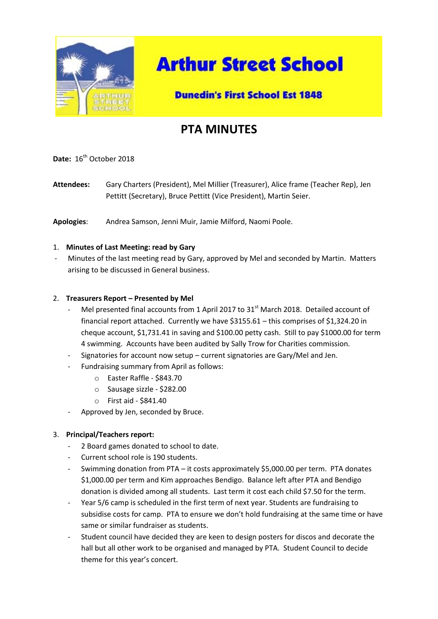

# **Arthur Street School**

### **Dunedin's First School Est 1848**

## **PTA MINUTES**

Date: 16<sup>th</sup> October 2018

**Attendees:** Gary Charters (President), Mel Millier (Treasurer), Alice frame (Teacher Rep), Jen Pettitt (Secretary), Bruce Pettitt (Vice President), Martin Seier.

**Apologies**: Andrea Samson, Jenni Muir, Jamie Milford, Naomi Poole.

#### 1. **Minutes of Last Meeting: read by Gary**

Minutes of the last meeting read by Gary, approved by Mel and seconded by Martin. Matters arising to be discussed in General business.

#### 2. **Treasurers Report – Presented by Mel**

- Mel presented final accounts from 1 April 2017 to 31<sup>st</sup> March 2018. Detailed account of financial report attached. Currently we have \$3155.61 – this comprises of \$1,324.20 in cheque account, \$1,731.41 in saving and \$100.00 petty cash. Still to pay \$1000.00 for term 4 swimming. Accounts have been audited by Sally Trow for Charities commission.
- Signatories for account now setup current signatories are Gary/Mel and Jen.
- Fundraising summary from April as follows:
	- o Easter Raffle \$843.70
	- o Sausage sizzle \$282.00
	- o First aid \$841.40
- Approved by Jen, seconded by Bruce.

#### 3. **Principal/Teachers report:**

- 2 Board games donated to school to date.
- Current school role is 190 students.
- Swimming donation from PTA it costs approximately \$5,000.00 per term. PTA donates \$1,000.00 per term and Kim approaches Bendigo. Balance left after PTA and Bendigo donation is divided among all students. Last term it cost each child \$7.50 for the term.
- Year 5/6 camp is scheduled in the first term of next year. Students are fundraising to subsidise costs for camp. PTA to ensure we don't hold fundraising at the same time or have same or similar fundraiser as students.
- Student council have decided they are keen to design posters for discos and decorate the hall but all other work to be organised and managed by PTA. Student Council to decide theme for this year's concert.